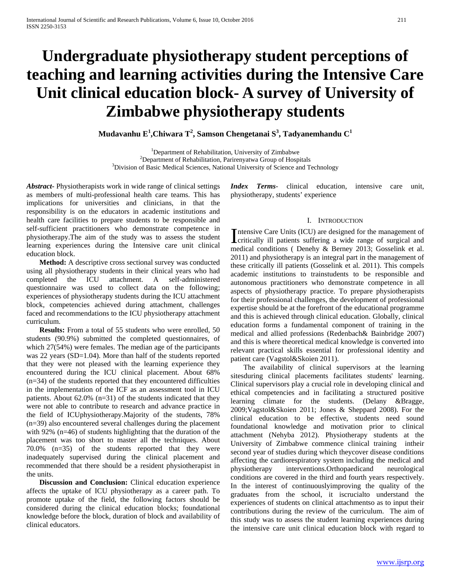# **Undergraduate physiotherapy student perceptions of teaching and learning activities during the Intensive Care Unit clinical education block- A survey of University of Zimbabwe physiotherapy students**

**Mudavanhu E<sup>1</sup> ,Chiwara T<sup>2</sup> , Samson Chengetanai S<sup>3</sup> , Tadyanemhandu C<sup>1</sup>**

<sup>1</sup>Department of Rehabilitation, University of Zimbabwe<br><sup>2</sup>Department of Rehabilitation, Beriranyatwa Group of Heap  $2$ Department of Rehabilitation, Parirenyatwa Group of Hospitals  $3$ Division of Basic Medical Sciences, National University of Science and Technology

*Abstract***-** Physiotherapists work in wide range of clinical settings as members of multi-professional health care teams. This has implications for universities and clinicians, in that the responsibility is on the educators in academic institutions and health care facilities to prepare students to be responsible and self-sufficient practitioners who demonstrate competence in physiotherapy.The aim of the study was to assess the student learning experiences during the Intensive care unit clinical education block.

 **Method:** A descriptive cross sectional survey was conducted using all physiotherapy students in their clinical years who had completed the ICU attachment. A self-administered questionnaire was used to collect data on the following; experiences of physiotherapy students during the ICU attachment block, competencies achieved during attachment, challenges faced and recommendations to the ICU physiotherapy attachment curriculum.

**Results:** From a total of 55 students who were enrolled, 50 students (90.9%) submitted the completed questionnaires, of which 27(54%) were females. The median age of the participants was 22 years (SD=1.04). More than half of the students reported that they were not pleased with the learning experience they encountered during the ICU clinical placement. About 68% (n=34) of the students reported that they encountered difficulties in the implementation of the ICF as an assessment tool in ICU patients. About 62.0% (n=31) of the students indicated that they were not able to contribute to research and advance practice in the field of ICUphysiotherapy.Majority of the students, 78% (n=39) also encountered several challenges during the placement with 92% (n=46) of students highlighting that the duration of the placement was too short to master all the techniques. About 70.0% (n=35) of the students reported that they were inadequately supervised during the clinical placement and recommended that there should be a resident physiotherapist in the units.

 **Discussion and Conclusion:** Clinical education experience affects the uptake of ICU physiotherapy as a career path. To promote uptake of the field, the following factors should be considered during the clinical education blocks; foundational knowledge before the block, duration of block and availability of clinical educators.

*Index Terms*- clinical education, intensive care unit, physiotherapy, students' experience

## I. INTRODUCTION

ntensive Care Units (ICU) are designed for the management of Intensive Care Units (ICU) are designed for the management of critically ill patients suffering a wide range of surgical and patients of Departure 2012, Constitutional medical conditions ( Denehy & Berney 2013; Gosselink et al. 2011) and physiotherapy is an integral part in the management of these critically ill patients (Gosselink et al. 2011). This compels academic institutions to trainstudents to be responsible and autonomous practitioners who demonstrate competence in all aspects of physiotherapy practice. To prepare physiotherapists for their professional challenges, the development of professional expertise should be at the forefront of the educational programme and this is achieved through clinical education. Globally, clinical education forms a fundamental component of training in the medical and allied professions (Redenbach& Bainbridge 2007) and this is where theoretical medical knowledge is converted into relevant practical skills essential for professional identity and patient care (Vagstol&Skoien 2011).

 The availability of clinical supervisors at the learning sitesduring clinical placements facilitates students' learning. Clinical supervisors play a crucial role in developing clinical and ethical competencies and in facilitating a structured positive learning climate for the students. (Delany &Bragge, 2009;Vagstol&Skoien 2011; Jones & Sheppard 2008). For the clinical education to be effective, students need sound foundational knowledge and motivation prior to clinical attachment (Nehyba 2012). Physiotherapy students at the University of Zimbabwe commence clinical training intheir second year of studies during which theycover disease conditions affecting the cardiorespiratory system including the medical and physiotherapy interventions.Orthopaedicand neurological conditions are covered in the third and fourth years respectively. In the interest of continuouslyimproving the quality of the graduates from the school, it iscrucialto understand the experiences of students on clinical attachmentso as to input their contributions during the review of the curriculum. The aim of this study was to assess the student learning experiences during the intensive care unit clinical education block with regard to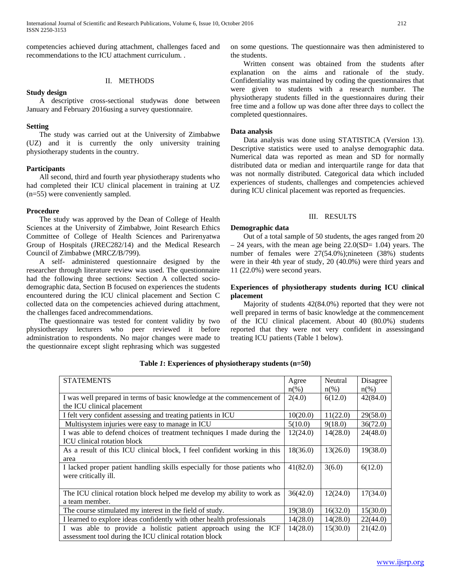competencies achieved during attachment, challenges faced and recommendations to the ICU attachment curriculum. .

## II. METHODS

## **Study design**

 A descriptive cross-sectional studywas done between January and February 2016using a survey questionnaire.

## **Setting**

 The study was carried out at the University of Zimbabwe (UZ) and it is currently the only university training physiotherapy students in the country.

## **Participants**

 All second, third and fourth year physiotherapy students who had completed their ICU clinical placement in training at UZ (n=55) were conveniently sampled.

## **Procedure**

 The study was approved by the Dean of College of Health Sciences at the University of Zimbabwe, Joint Research Ethics Committee of College of Health Sciences and Parirenyatwa Group of Hospitals (JREC282/14) and the Medical Research Council of Zimbabwe (MRCZ/B/799).

 A self- administered questionnaire designed by the researcher through literature review was used. The questionnaire had the following three sections: Section A collected sociodemographic data, Section B focused on experiences the students encountered during the ICU clinical placement and Section C collected data on the competencies achieved during attachment, the challenges faced andrecommendations.

 The questionnaire was tested for content validity by two physiotherapy lecturers who peer reviewed it before administration to respondents. No major changes were made to the questionnaire except slight rephrasing which was suggested on some questions. The questionnaire was then administered to the students.

 Written consent was obtained from the students after explanation on the aims and rationale of the study. Confidentiality was maintained by coding the questionnaires that were given to students with a research number. The physiotherapy students filled in the questionnaires during their free time and a follow up was done after three days to collect the completed questionnaires.

## **Data analysis**

 Data analysis was done using STATISTICA (Version 13). Descriptive statistics were used to analyse demographic data. Numerical data was reported as mean and SD for normally distributed data or median and interquartile range for data that was not normally distributed. Categorical data which included experiences of students, challenges and competencies achieved during ICU clinical placement was reported as frequencies.

# III. RESULTS

## **Demographic data**

 Out of a total sample of 50 students, the ages ranged from 20  $-$  24 years, with the mean age being 22.0(SD= 1.04) years. The number of females were 27(54.0%);nineteen (38%) students were in their 4th year of study, 20 (40.0%) were third years and 11 (22.0%) were second years.

## **Experiences of physiotherapy students during ICU clinical placement**

 Majority of students 42(84.0%) reported that they were not well prepared in terms of basic knowledge at the commencement of the ICU clinical placement. About 40 (80.0%) students reported that they were not very confident in assessingand treating ICU patients (Table 1 below).

| <b>STATEMENTS</b>                                                         | Agree    | Neutral  | Disagree |
|---------------------------------------------------------------------------|----------|----------|----------|
|                                                                           | $n(\%)$  | $n(\%)$  | $n(\%)$  |
| I was well prepared in terms of basic knowledge at the commencement of    | 2(4.0)   | 6(12.0)  | 42(84.0) |
| the ICU clinical placement                                                |          |          |          |
| I felt very confident assessing and treating patients in ICU              | 10(20.0) | 11(22.0) | 29(58.0) |
| Multisystem injuries were easy to manage in ICU                           | 5(10.0)  | 9(18.0)  | 36(72.0) |
| I was able to defend choices of treatment techniques I made during the    | 12(24.0) | 14(28.0) | 24(48.0) |
| <b>ICU</b> clinical rotation block                                        |          |          |          |
| As a result of this ICU clinical block, I feel confident working in this  | 18(36.0) | 13(26.0) | 19(38.0) |
| area                                                                      |          |          |          |
| I lacked proper patient handling skills especially for those patients who | 41(82.0) | 3(6.0)   | 6(12.0)  |
| were critically ill.                                                      |          |          |          |
|                                                                           |          |          |          |
| The ICU clinical rotation block helped me develop my ability to work as   | 36(42.0) | 12(24.0) | 17(34.0) |
| a team member.                                                            |          |          |          |
| The course stimulated my interest in the field of study.                  | 19(38.0) | 16(32.0) | 15(30.0) |
| I learned to explore ideas confidently with other health professionals    | 14(28.0) | 14(28.0) | 22(44.0) |
| I was able to provide a holistic patient approach using the ICF           | 14(28.0) | 15(30.0) | 21(42.0) |
| assessment tool during the ICU clinical rotation block                    |          |          |          |

## **Table** *1***: Experiences of physiotherapy students (n=50)**

[www.ijsrp.org](http://ijsrp.org/)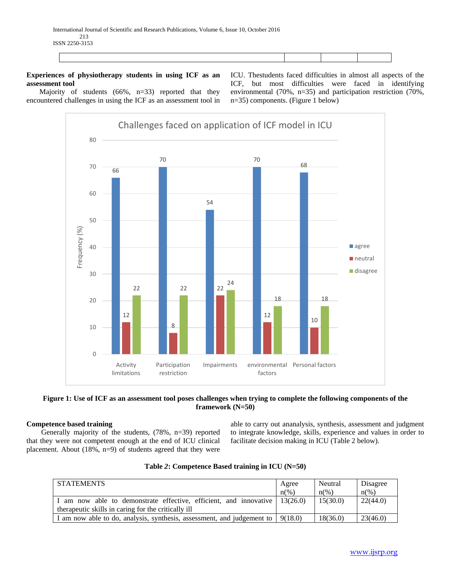# **Experiences of physiotherapy students in using ICF as an assessment tool**

 Majority of students (66%, n=33) reported that they encountered challenges in using the ICF as an assessment tool in ICU. Thestudents faced difficulties in almost all aspects of the ICF, but most difficulties were faced in identifying environmental (70%, n=35) and participation restriction (70%, n=35) components. (Figure 1 below)





## **Competence based training**

 Generally majority of the students, (78%, n=39) reported that they were not competent enough at the end of ICU clinical placement. About (18%, n=9) of students agreed that they were able to carry out ananalysis, synthesis, assessment and judgment to integrate knowledge, skills, experience and values in order to facilitate decision making in ICU (Table 2 below).

| <b>STATEMENTS</b>                                                                      | Agree              | Neutral            | Disagree       |
|----------------------------------------------------------------------------------------|--------------------|--------------------|----------------|
|                                                                                        | $n\left(\%\right)$ | $n\left(\%\right)$ | $n\frac{6}{6}$ |
| I am now able to demonstrate effective, efficient, and innovative $\mid 13(26.0) \mid$ |                    | 15(30.0)           | 22(44.0)       |
| therapeutic skills in caring for the critically ill                                    |                    |                    |                |
| I am now able to do, analysis, synthesis, assessment, and judgement to                 | 9(18.0)            | 18(36.0)           | 23(46.0)       |

|  | Table 2: Competence Based training in ICU (N=50) |  |  |  |  |  |
|--|--------------------------------------------------|--|--|--|--|--|
|--|--------------------------------------------------|--|--|--|--|--|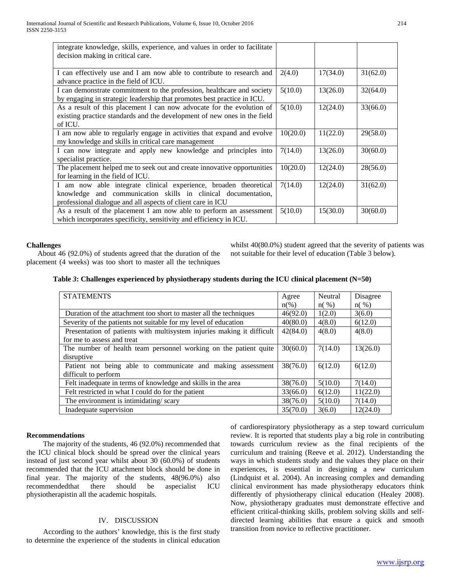| integrate knowledge, skills, experience, and values in order to facilitate |          |          |          |
|----------------------------------------------------------------------------|----------|----------|----------|
| decision making in critical care.                                          |          |          |          |
|                                                                            |          |          |          |
| I can effectively use and I am now able to contribute to research and      | 2(4.0)   | 17(34.0) | 31(62.0) |
| advance practice in the field of ICU.                                      |          |          |          |
| I can demonstrate commitment to the profession, healthcare and society     | 5(10.0)  | 13(26.0) | 32(64.0) |
| by engaging in strategic leadership that promotes best practice in ICU.    |          |          |          |
| As a result of this placement I can now advocate for the evolution of      | 5(10.0)  | 12(24.0) | 33(66.0) |
| existing practice standards and the development of new ones in the field   |          |          |          |
| of ICU.                                                                    |          |          |          |
| I am now able to regularly engage in activities that expand and evolve     | 10(20.0) | 11(22.0) | 29(58.0) |
| my knowledge and skills in critical care management                        |          |          |          |
| I can now integrate and apply new knowledge and principles into            | 7(14.0)  | 13(26.0) | 30(60.0) |
| specialist practice.                                                       |          |          |          |
| The placement helped me to seek out and create innovative opportunities    | 10(20.0) | 12(24.0) | 28(56.0) |
| for learning in the field of ICU.                                          |          |          |          |
| I am now able integrate clinical experience, broaden theoretical           | 7(14.0)  | 12(24.0) | 31(62.0) |
| knowledge and communication skills in clinical documentation,              |          |          |          |
| professional dialogue and all aspects of client care in ICU                |          |          |          |
| As a result of the placement I am now able to perform an assessment        | 5(10.0)  | 15(30.0) | 30(60.0) |
| which incorporates specificity, sensitivity and efficiency in ICU.         |          |          |          |

#### **Challenges**

 About 46 (92.0%) of students agreed that the duration of the placement (4 weeks) was too short to master all the techniques

whilst 40(80.0%) student agreed that the severity of patients was not suitable for their level of education (Table 3 below).

|  |  |  |  | Table 3: Challenges experienced by physiotherapy students during the ICU clinical placement (N=50) |  |
|--|--|--|--|----------------------------------------------------------------------------------------------------|--|
|--|--|--|--|----------------------------------------------------------------------------------------------------|--|

| <b>STATEMENTS</b>                                                      | Agree    | Neutral | Disagree |
|------------------------------------------------------------------------|----------|---------|----------|
|                                                                        | $n(\%)$  | $n(\%)$ | $n(\%)$  |
| Duration of the attachment too short to master all the techniques      | 46(92.0) | 1(2.0)  | 3(6.0)   |
| Severity of the patients not suitable for my level of education        | 40(80.0) | 4(8.0)  | 6(12.0)  |
| Presentation of patients with multisystem injuries making it difficult | 42(84.0) | 4(8.0)  | 4(8.0)   |
| for me to assess and treat                                             |          |         |          |
| The number of health team personnel working on the patient quite       | 30(60.0) | 7(14.0) | 13(26.0) |
| disruptive                                                             |          |         |          |
| Patient not being able to communicate and making assessment            | 38(76.0) | 6(12.0) | 6(12.0)  |
| difficult to perform                                                   |          |         |          |
| Felt inadequate in terms of knowledge and skills in the area           | 38(76.0) | 5(10.0) | 7(14.0)  |
| Felt restricted in what I could do for the patient                     | 33(66.0) | 6(12.0) | 11(22.0) |
| The environment is intimidating/scary                                  | 38(76.0) | 5(10.0) | 7(14.0)  |
| Inadequate supervision                                                 | 35(70.0) | 3(6.0)  | 12(24.0) |

## **Recommendations**

 The majority of the students, 46 (92.0%) recommended that the ICU clinical block should be spread over the clinical years instead of just second year whilst about 30 (60.0%) of students recommended that the ICU attachment block should be done in final year. The majority of the students, 48(96.0%) also recommendedthat there should be aspecialist ICU physiotherapistin all the academic hospitals.

## IV. DISCUSSION

 According to the authors' knowledge, this is the first study to determine the experience of the students in clinical education of cardiorespiratory physiotherapy as a step toward curriculum review. It is reported that students play a big role in contributing towards curriculum review as the final recipients of the curriculum and training (Reeve et al. 2012). Understanding the ways in which students study and the values they place on their experiences, is essential in designing a new curriculum (Lindquist et al. 2004). An increasing complex and demanding clinical environment has made physiotherapy educators think differently of physiotherapy clinical education (Healey 2008). Now, physiotherapy graduates must demonstrate effective and efficient critical-thinking skills, problem solving skills and selfdirected learning abilities that ensure a quick and smooth transition from novice to reflective practitioner.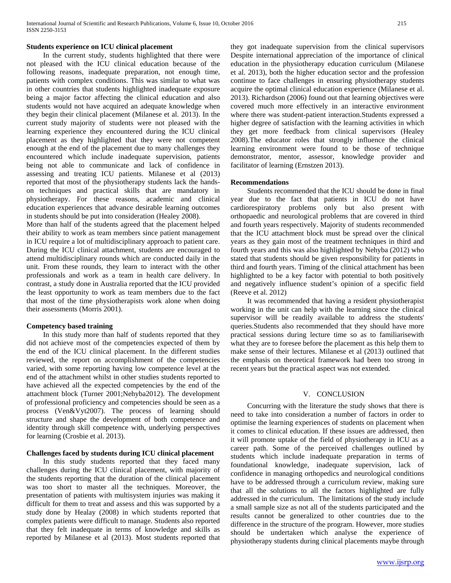## **Students experience on ICU clinical placement**

 In the current study, students highlighted that there were not pleased with the ICU clinical education because of the following reasons, inadequate preparation, not enough time, patients with complex conditions. This was similar to what was in other countries that students highlighted inadequate exposure being a major factor affecting the clinical education and also students would not have acquired an adequate knowledge when they begin their clinical placement (Milanese et al. 2013). In the current study majority of students were not pleased with the learning experience they encountered during the ICU clinical placement as they highlighted that they were not competent enough at the end of the placement due to many challenges they encountered which include inadequate supervision, patients being not able to communicate and lack of confidence in assessing and treating ICU patients. Milanese et al (2013) reported that most of the physiotherapy students lack the handson techniques and practical skills that are mandatory in physiotherapy. For these reasons, academic and clinical education experiences that advance desirable learning outcomes in students should be put into consideration (Healey 2008).

More than half of the students agreed that the placement helped their ability to work as team members since patient management in ICU require a lot of multidisciplinary approach to patient care. During the ICU clinical attachment, students are encouraged to attend multidisciplinary rounds which are conducted daily in the unit. From these rounds, they learn to interact with the other professionals and work as a team in health care delivery. In contrast, a study done in Australia reported that the ICU provided the least opportunity to work as team members due to the fact that most of the time physiotherapists work alone when doing their assessments (Morris 2001).

#### **Competency based training**

 In this study more than half of students reported that they did not achieve most of the competencies expected of them by the end of the ICU clinical placement. In the different studies reviewed, the report on accomplishment of the competencies varied, with some reporting having low competence level at the end of the attachment whilst in other studies students reported to have achieved all the expected competencies by the end of the attachment block (Turner 2001;Nehyba2012). The development of professional proficiency and competencies should be seen as a process (Ven&Vyt2007). The process of learning should structure and shape the development of both competence and identity through skill competence with, underlying perspectives for learning (Crosbie et al. 2013).

## **Challenges faced by students during ICU clinical placement**

 In this study students reported that they faced many challenges during the ICU clinical placement, with majority of the students reporting that the duration of the clinical placement was too short to master all the techniques. Moreover, the presentation of patients with multisystem injuries was making it difficult for them to treat and assess and this was supported by a study done by Healay (2008) in which students reported that complex patients were difficult to manage. Students also reported that they felt inadequate in terms of knowledge and skills as reported by Milanese et al (2013). Most students reported that they got inadequate supervision from the clinical supervisors Despite international appreciation of the importance of clinical education in the physiotherapy education curriculum (Milanese et al. 2013), both the higher education sector and the profession continue to face challenges in ensuring physiotherapy students acquire the optimal clinical education experience (Milanese et al. 2013). Richardson (2006) found out that learning objectives were covered much more effectively in an interactive environment where there was student-patient interaction.Students expressed a higher degree of satisfaction with the learning activities in which they get more feedback from clinical supervisors (Healey 2008).The educator roles that strongly influence the clinical learning environment were found to be those of technique demonstrator, mentor, assessor, knowledge provider and facilitator of learning (Ernstzen 2013).

#### **Recommendations**

 Students recommended that the ICU should be done in final year due to the fact that patients in ICU do not have cardiorespiratory problems only but also present with orthopaedic and neurological problems that are covered in third and fourth years respectively. Majority of students recommended that the ICU attachment block must be spread over the clinical years as they gain most of the treatment techniques in third and fourth years and this was also highlighted by Nehyba (2012) who stated that students should be given responsibility for patients in third and fourth years. Timing of the clinical attachment has been highlighted to be a key factor with potential to both positively and negatively influence student's opinion of a specific field (Reeve et al. 2012)

 It was recommended that having a resident physiotherapist working in the unit can help with the learning since the clinical supervisor will be readily available to address the students' queries.Students also recommended that they should have more practical sessions during lecture time so as to familiarisewith what they are to foresee before the placement as this help them to make sense of their lectures. Milanese et al (2013) outlined that the emphasis on theoretical framework had been too strong in recent years but the practical aspect was not extended.

#### V. CONCLUSION

 Concurring with the literature the study shows that there is need to take into consideration a number of factors in order to optimise the learning experiences of students on placement when it comes to clinical education. If these issues are addressed, then it will promote uptake of the field of physiotherapy in ICU as a career path. Some of the perceived challenges outlined by students which include inadequate preparation in terms of foundational knowledge, inadequate supervision, lack of confidence in managing orthopedics and neurological conditions have to be addressed through a curriculum review, making sure that all the solutions to all the factors highlighted are fully addressed in the curriculum. The limitations of the study include a small sample size as not all of the students participated and the results cannot be generalized to other countries due to the difference in the structure of the program. However, more studies should be undertaken which analyse the experience of physiotherapy students during clinical placements maybe through